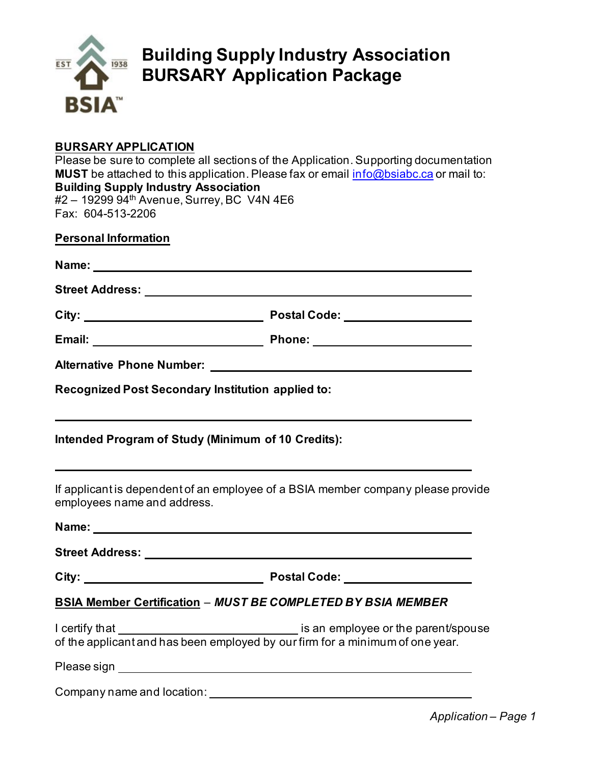

## **Building Supply Industry Association BURSARY Application Package**

### **BURSARY APPLICATION**

Please be sure to complete all sections of the Application. Supporting documentation **MUST** be attached to this application. Please fax or email info@bsiabc.ca or mail to: **Building Supply Industry Association** #2 - 19299 94<sup>th</sup> Avenue, Surrey, BC V4N 4E6 Fax: 604-513-2206

| <b>Personal Information</b> |  |  |  |  |  |  |  |  |
|-----------------------------|--|--|--|--|--|--|--|--|
|                             |  |  |  |  |  |  |  |  |

| Name:                  |                     |  |
|------------------------|---------------------|--|
| <b>Street Address:</b> |                     |  |
| City:                  | <b>Postal Code:</b> |  |

| Email: | <b>Phone:</b> |  |
|--------|---------------|--|

| <b>Alternative Phone Number:</b> |  |  |
|----------------------------------|--|--|
|                                  |  |  |

**Recognized Post Secondary Institution applied to:** 

## **Intended Program of Study (Minimum of 10 Credits):**

If applicant is dependent of an employee of a BSIA member company please provide employees name and address.

| Name:<br><u> 1989 - Johann Stein, fransk politik (f. 1989)</u> |                                                                               |
|----------------------------------------------------------------|-------------------------------------------------------------------------------|
|                                                                |                                                                               |
|                                                                | Postal Code: __________________                                               |
|                                                                | <b>BSIA Member Certification - MUST BE COMPLETED BY BSIA MEMBER</b>           |
|                                                                | of the applicant and has been employed by our firm for a minimum of one year. |
|                                                                |                                                                               |
| Company name and location:                                     |                                                                               |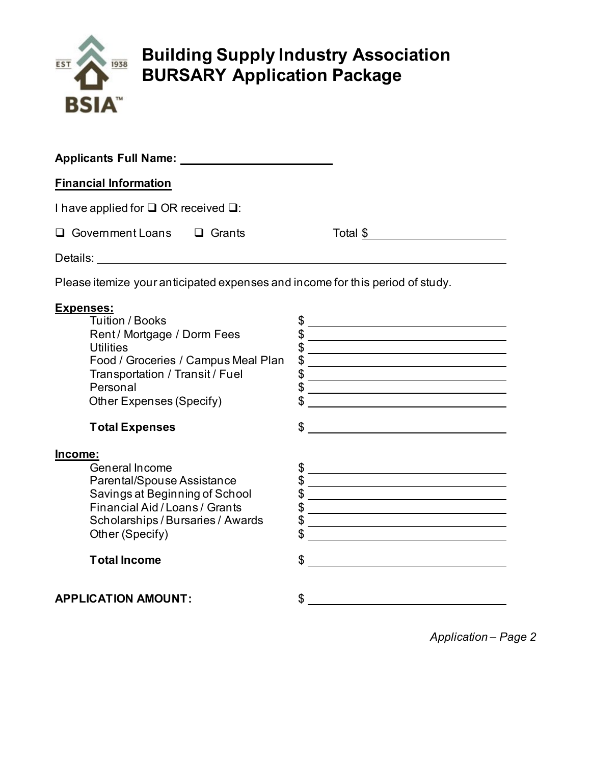

# **Building Supply Industry Association BURSARY Application Package**

| <b>Applicants Full Name:</b>                         |  |  |          |  |  |  |  |
|------------------------------------------------------|--|--|----------|--|--|--|--|
| <b>Financial Information</b>                         |  |  |          |  |  |  |  |
| I have applied for $\square$ OR received $\square$ : |  |  |          |  |  |  |  |
| $\Box$ Government Loans $\Box$ Grants                |  |  | Total \$ |  |  |  |  |
| Details:                                             |  |  |          |  |  |  |  |

Please itemize your anticipated expenses and income for this period of study.

#### **Expenses:**

| <b>Tuition / Books</b><br>Rent/Mortgage / Dorm Fees<br>Utilities<br>Food / Groceries / Campus Meal Plan<br>Transportation / Transit / Fuel<br>Personal<br>Other Expenses (Specify)  | S<br>\$<br>\$ |
|-------------------------------------------------------------------------------------------------------------------------------------------------------------------------------------|---------------|
| <b>Total Expenses</b>                                                                                                                                                               | \$            |
| Income:<br>General Income<br>Parental/Spouse Assistance<br>Savings at Beginning of School<br>Financial Aid / Loans / Grants<br>Scholarships / Bursaries / Awards<br>Other (Specify) | \$<br>\$      |
| <b>Total Income</b>                                                                                                                                                                 | \$            |
| <b>APPLICATION AMOUNT:</b>                                                                                                                                                          |               |

*Application – Page 2*